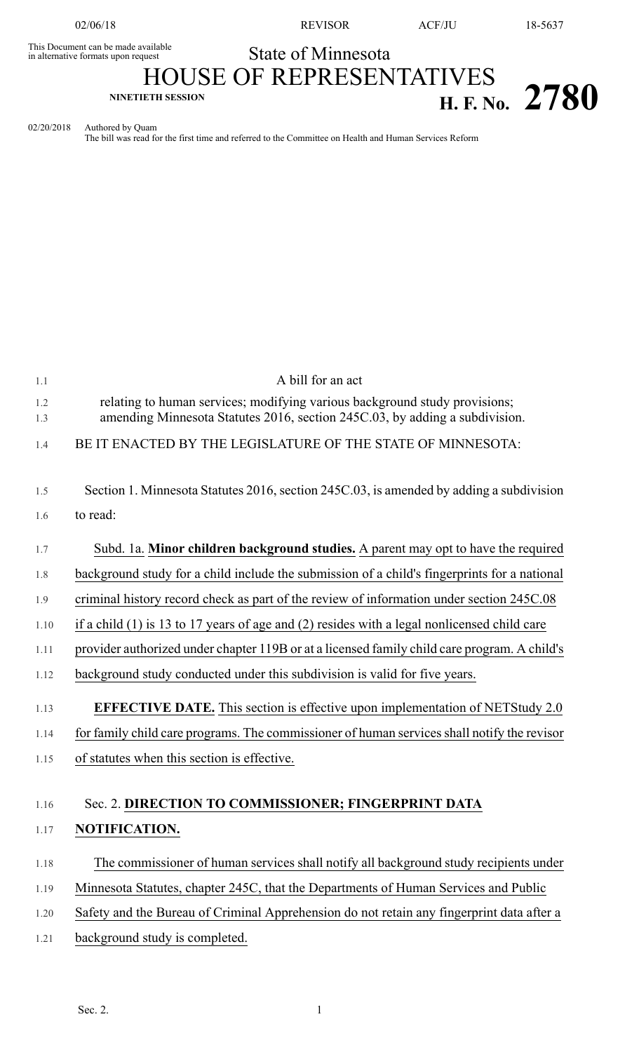This Document can be made available<br>in alternative formats upon request

02/06/18 REVISOR ACF/JU 18-5637

State of Minnesota

HOUSE OF REPRESENTATIVES **NINETIETH SESSION H. F. No. 2780**

02/20/2018 Authored by Quam

The bill was read for the first time and referred to the Committee on Health and Human Services Reform

| 1.1        | A bill for an act                                                                                                                                         |  |  |  |  |
|------------|-----------------------------------------------------------------------------------------------------------------------------------------------------------|--|--|--|--|
| 1.2<br>1.3 | relating to human services; modifying various background study provisions;<br>amending Minnesota Statutes 2016, section 245C.03, by adding a subdivision. |  |  |  |  |
| 1.4        | BE IT ENACTED BY THE LEGISLATURE OF THE STATE OF MINNESOTA:                                                                                               |  |  |  |  |
| 1.5        | Section 1. Minnesota Statutes 2016, section 245C.03, is amended by adding a subdivision                                                                   |  |  |  |  |
| 1.6        | to read:                                                                                                                                                  |  |  |  |  |
| 1.7        | Subd. 1a. Minor children background studies. A parent may opt to have the required                                                                        |  |  |  |  |
| 1.8        | background study for a child include the submission of a child's fingerprints for a national                                                              |  |  |  |  |
| 1.9        | criminal history record check as part of the review of information under section 245C.08                                                                  |  |  |  |  |
| 1.10       | if a child $(1)$ is 13 to 17 years of age and $(2)$ resides with a legal nonlicensed child care                                                           |  |  |  |  |
| 1.11       | provider authorized under chapter 119B or at a licensed family child care program. A child's                                                              |  |  |  |  |
| 1.12       | background study conducted under this subdivision is valid for five years.                                                                                |  |  |  |  |
| 1.13       | <b>EFFECTIVE DATE.</b> This section is effective upon implementation of NETStudy 2.0                                                                      |  |  |  |  |
| 1.14       | for family child care programs. The commissioner of human services shall notify the revisor                                                               |  |  |  |  |
| 1.15       | of statutes when this section is effective.                                                                                                               |  |  |  |  |
|            |                                                                                                                                                           |  |  |  |  |
| 1.16       | Sec. 2. DIRECTION TO COMMISSIONER; FINGERPRINT DATA                                                                                                       |  |  |  |  |
| 1.17       | NOTIFICATION.                                                                                                                                             |  |  |  |  |
| 1.18       | The commissioner of human services shall notify all background study recipients under                                                                     |  |  |  |  |
| 1.19       | Minnesota Statutes, chapter 245C, that the Departments of Human Services and Public                                                                       |  |  |  |  |
| 1.20       | Safety and the Bureau of Criminal Apprehension do not retain any fingerprint data after a                                                                 |  |  |  |  |
| 1.21       | background study is completed.                                                                                                                            |  |  |  |  |